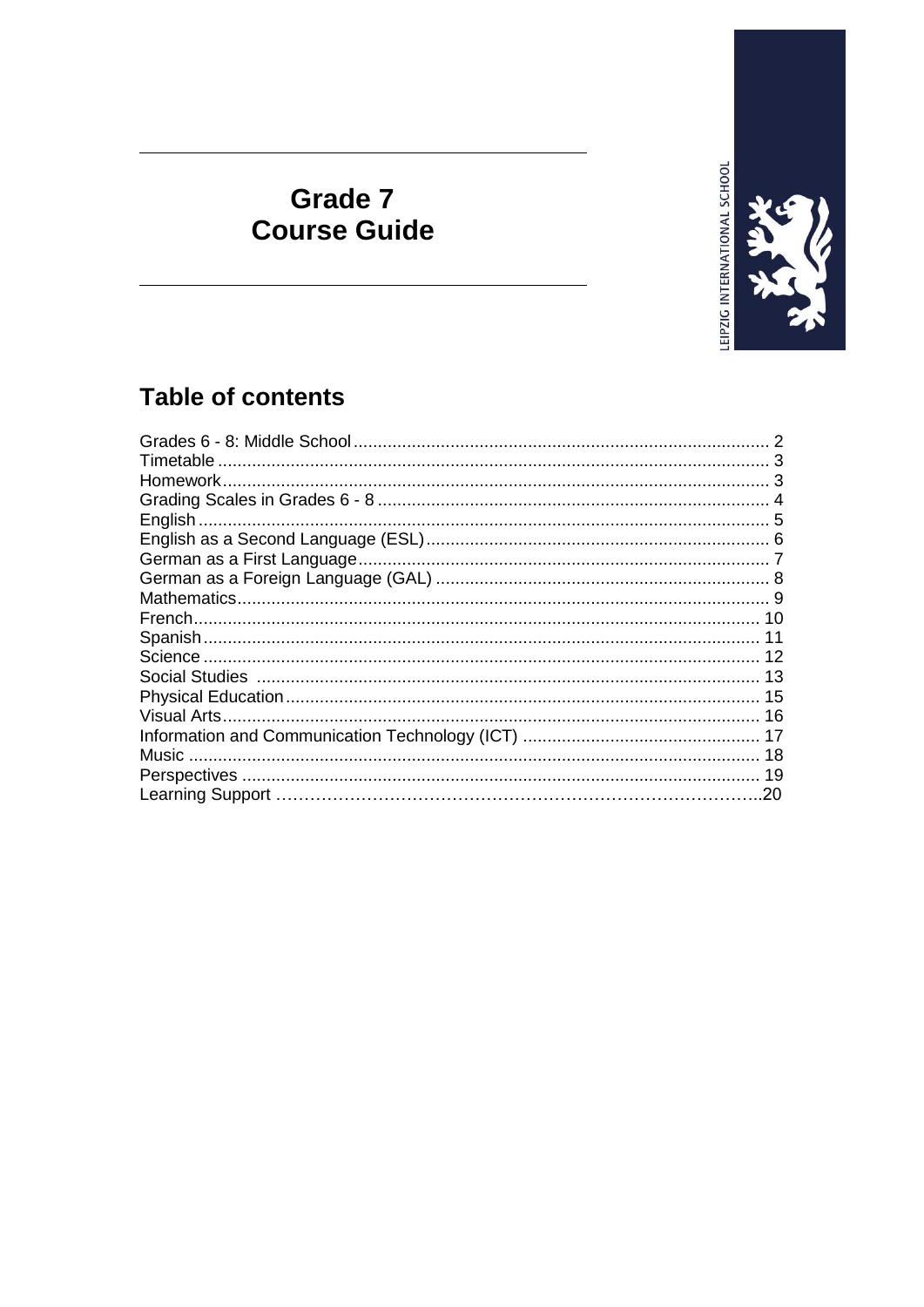

## Grade 7 **Course Guide**

### **Table of contents**

| English.                                                      |     |
|---------------------------------------------------------------|-----|
|                                                               |     |
|                                                               |     |
| German as a Foreign Language (GAL) ……………………………………………………………… 8 |     |
|                                                               |     |
|                                                               |     |
|                                                               | 11  |
|                                                               |     |
|                                                               |     |
|                                                               |     |
| Visual Arts.                                                  |     |
|                                                               |     |
| Music                                                         |     |
|                                                               | 19  |
| Learning Support ………………………………………………………………………                  | .20 |
|                                                               |     |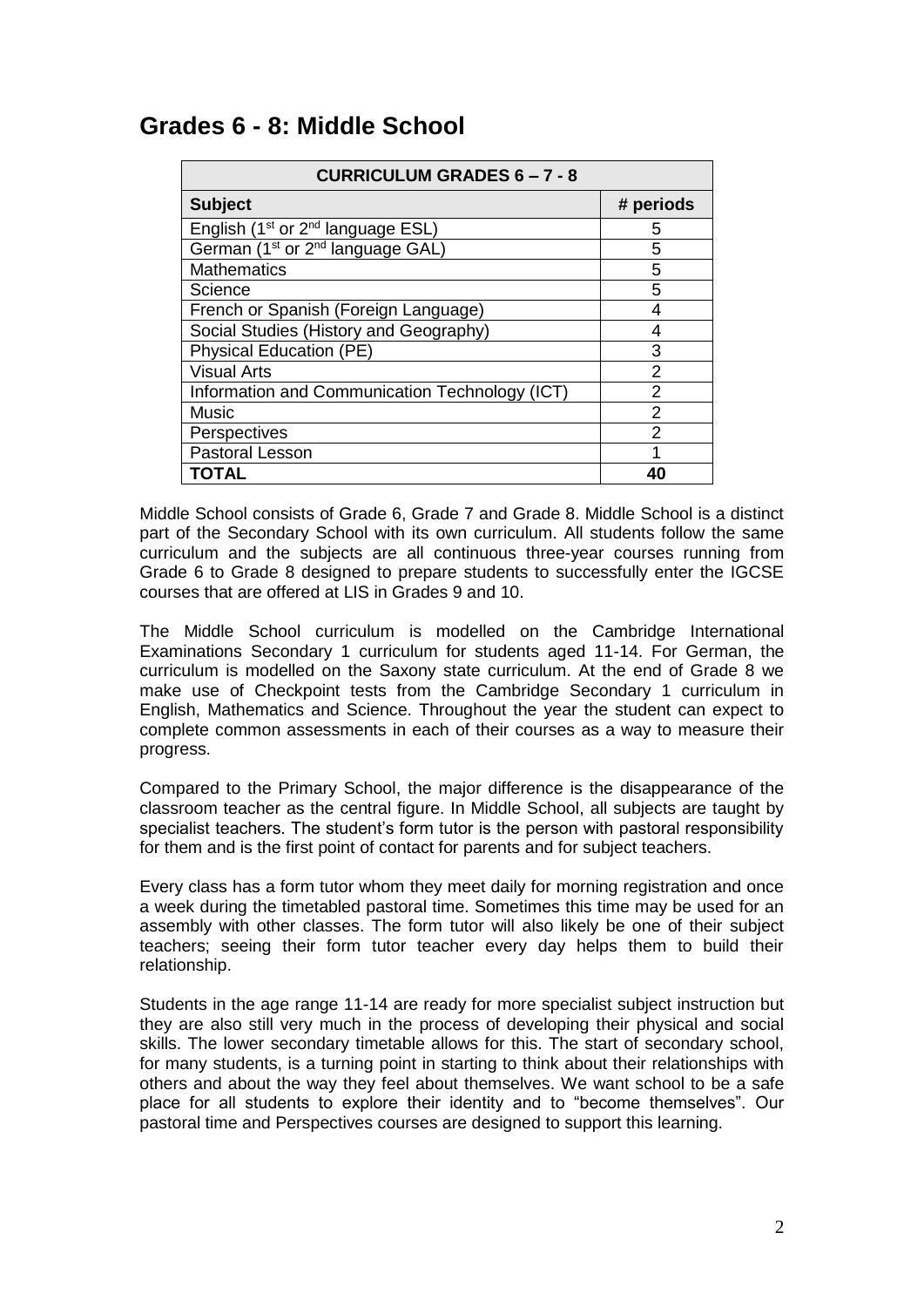### **Grades 6 - 8: Middle School**

| <b>CURRICULUM GRADES 6-7-8</b>                            |                |  |
|-----------------------------------------------------------|----------------|--|
| <b>Subject</b>                                            | # periods      |  |
| English (1 <sup>st</sup> or 2 <sup>nd</sup> language ESL) | 5              |  |
| German (1 <sup>st</sup> or 2 <sup>nd</sup> language GAL)  | 5              |  |
| <b>Mathematics</b>                                        | 5              |  |
| Science                                                   | 5              |  |
| French or Spanish (Foreign Language)                      | 4              |  |
| Social Studies (History and Geography)                    | 4              |  |
| <b>Physical Education (PE)</b>                            | 3              |  |
| <b>Visual Arts</b>                                        | 2              |  |
| Information and Communication Technology (ICT)            | 2              |  |
| <b>Music</b>                                              | $\overline{2}$ |  |
| Perspectives                                              | 2              |  |
| <b>Pastoral Lesson</b>                                    |                |  |
| <b>TOTAL</b>                                              | 40             |  |

Middle School consists of Grade 6, Grade 7 and Grade 8. Middle School is a distinct part of the Secondary School with its own curriculum. All students follow the same curriculum and the subjects are all continuous three-year courses running from Grade 6 to Grade 8 designed to prepare students to successfully enter the IGCSE courses that are offered at LIS in Grades 9 and 10.

The Middle School curriculum is modelled on the Cambridge International Examinations Secondary 1 curriculum for students aged 11-14. For German, the curriculum is modelled on the Saxony state curriculum. At the end of Grade 8 we make use of Checkpoint tests from the Cambridge Secondary 1 curriculum in English, Mathematics and Science. Throughout the year the student can expect to complete common assessments in each of their courses as a way to measure their progress.

Compared to the Primary School, the major difference is the disappearance of the classroom teacher as the central figure. In Middle School, all subjects are taught by specialist teachers. The student's form tutor is the person with pastoral responsibility for them and is the first point of contact for parents and for subject teachers.

Every class has a form tutor whom they meet daily for morning registration and once a week during the timetabled pastoral time. Sometimes this time may be used for an assembly with other classes. The form tutor will also likely be one of their subject teachers; seeing their form tutor teacher every day helps them to build their relationship.

Students in the age range 11-14 are ready for more specialist subject instruction but they are also still very much in the process of developing their physical and social skills. The lower secondary timetable allows for this. The start of secondary school, for many students, is a turning point in starting to think about their relationships with others and about the way they feel about themselves. We want school to be a safe place for all students to explore their identity and to "become themselves". Our pastoral time and Perspectives courses are designed to support this learning.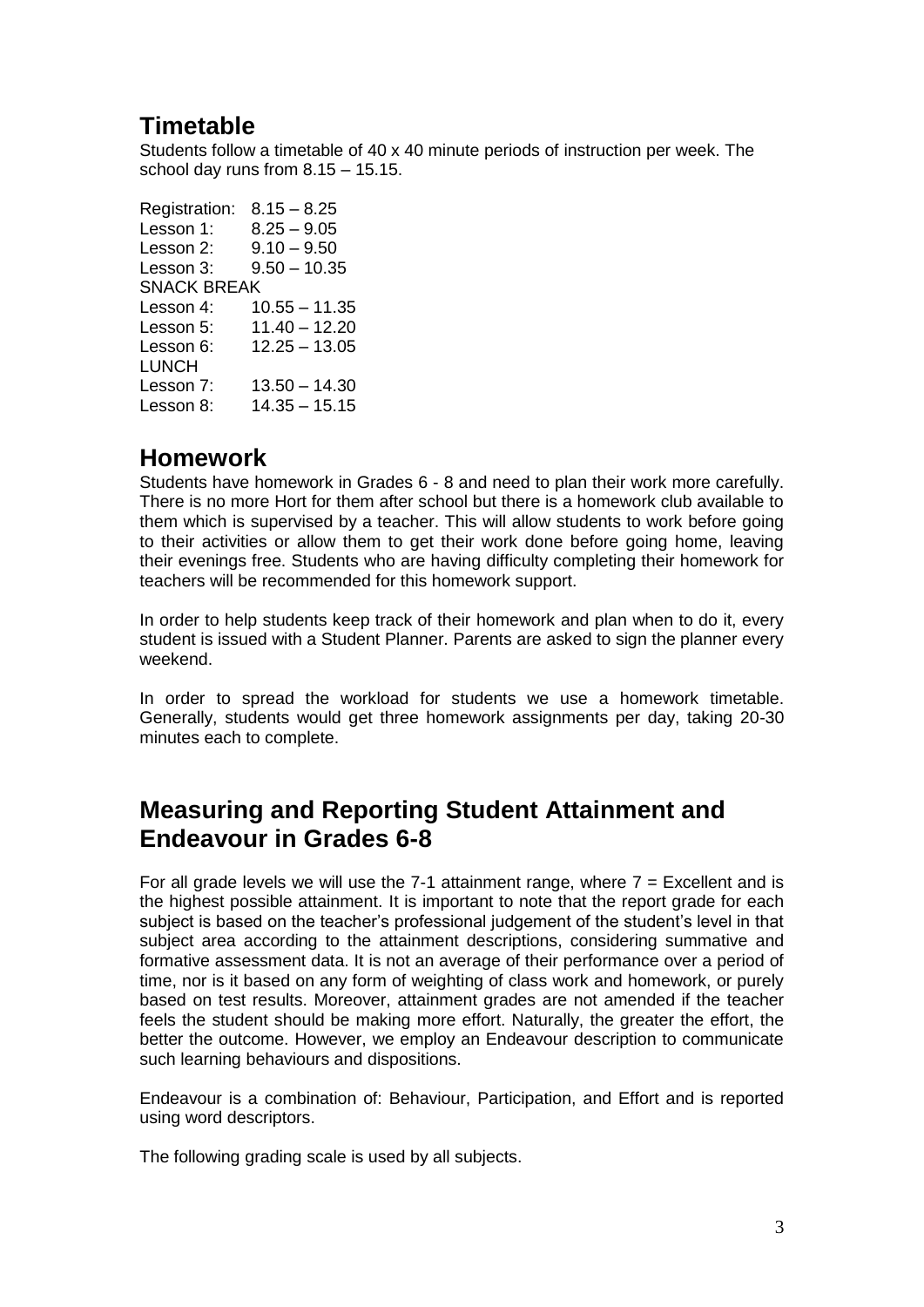### **Timetable**

Students follow a timetable of 40 x 40 minute periods of instruction per week. The school day runs from 8.15 – 15.15.

Registration: 8.15 – 8.25 Lesson 1: 8.25 – 9.05 Lesson 2:  $9.10 - 9.50$ Lesson 3: 9.50 – 10.35 SNACK BREAK Lesson 4: 10.55 – 11.35 Lesson 5: 11.40 – 12.20 Lesson 6: 12.25 – 13.05 LUNCH<br>Lesson 7:  $13.50 - 14.30$ Lesson 8: 14.35 – 15.15

### **Homework**

Students have homework in Grades 6 - 8 and need to plan their work more carefully. There is no more Hort for them after school but there is a homework club available to them which is supervised by a teacher. This will allow students to work before going to their activities or allow them to get their work done before going home, leaving their evenings free. Students who are having difficulty completing their homework for teachers will be recommended for this homework support.

In order to help students keep track of their homework and plan when to do it, every student is issued with a Student Planner. Parents are asked to sign the planner every weekend.

In order to spread the workload for students we use a homework timetable. Generally, students would get three homework assignments per day, taking 20-30 minutes each to complete.

### **Measuring and Reporting Student Attainment and Endeavour in Grades 6-8**

For all grade levels we will use the 7-1 attainment range, where  $7 =$  Excellent and is the highest possible attainment. It is important to note that the report grade for each subject is based on the teacher's professional judgement of the student's level in that subject area according to the attainment descriptions, considering summative and formative assessment data. It is not an average of their performance over a period of time, nor is it based on any form of weighting of class work and homework, or purely based on test results. Moreover, attainment grades are not amended if the teacher feels the student should be making more effort. Naturally, the greater the effort, the better the outcome. However, we employ an Endeavour description to communicate such learning behaviours and dispositions.

Endeavour is a combination of: Behaviour, Participation, and Effort and is reported using word descriptors.

The following grading scale is used by all subjects.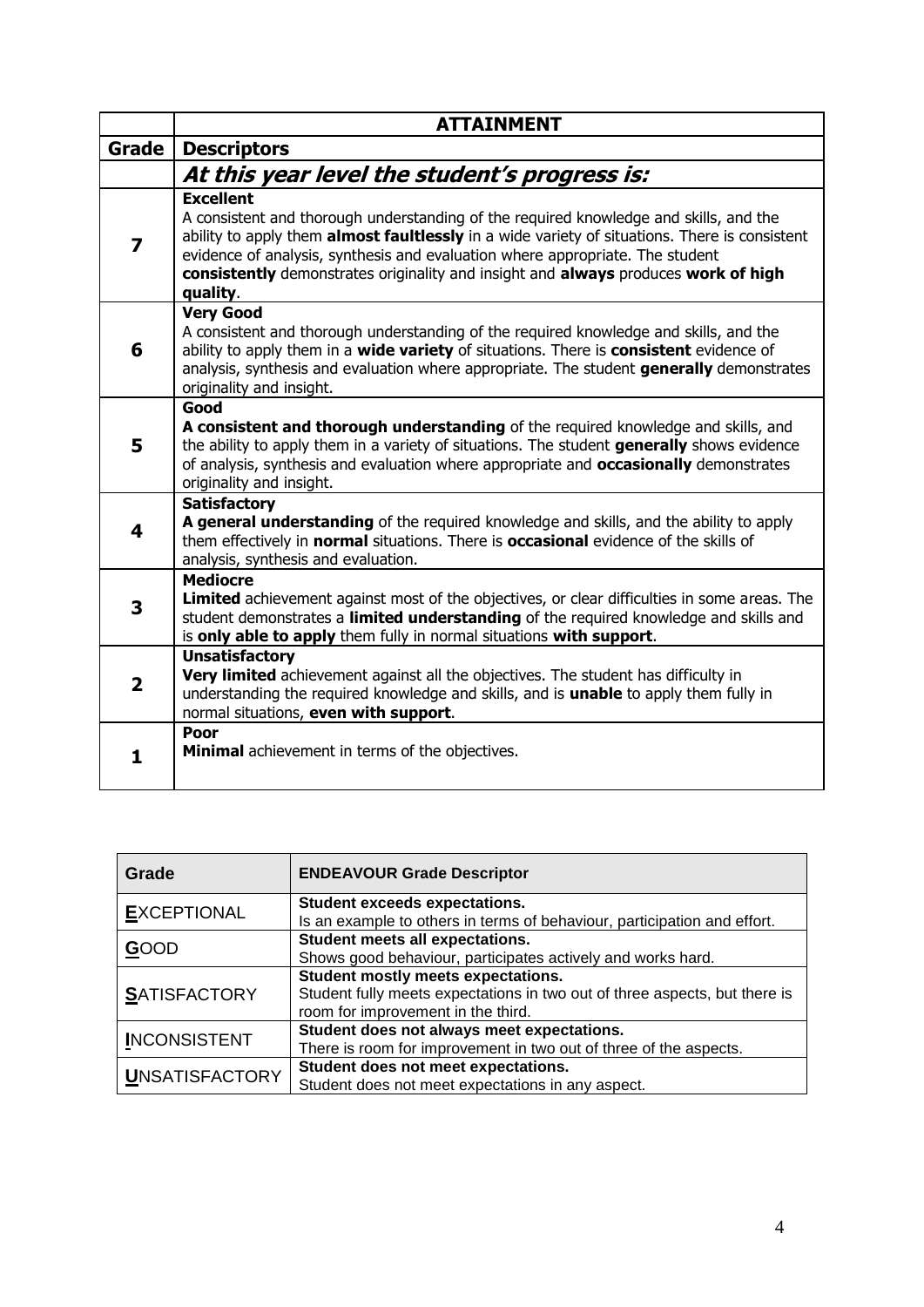|                         | <b>ATTAINMENT</b>                                                                                                                                                                                                                                                                                                                                                                             |
|-------------------------|-----------------------------------------------------------------------------------------------------------------------------------------------------------------------------------------------------------------------------------------------------------------------------------------------------------------------------------------------------------------------------------------------|
| Grade                   | <b>Descriptors</b>                                                                                                                                                                                                                                                                                                                                                                            |
|                         | At this year level the student's progress is:                                                                                                                                                                                                                                                                                                                                                 |
| 7                       | <b>Excellent</b><br>A consistent and thorough understanding of the required knowledge and skills, and the<br>ability to apply them almost faultlessly in a wide variety of situations. There is consistent<br>evidence of analysis, synthesis and evaluation where appropriate. The student<br>consistently demonstrates originality and insight and always produces work of high<br>quality. |
| 6                       | <b>Very Good</b><br>A consistent and thorough understanding of the required knowledge and skills, and the<br>ability to apply them in a wide variety of situations. There is consistent evidence of<br>analysis, synthesis and evaluation where appropriate. The student generally demonstrates<br>originality and insight.                                                                   |
| 5                       | Good<br>A consistent and thorough understanding of the required knowledge and skills, and<br>the ability to apply them in a variety of situations. The student generally shows evidence<br>of analysis, synthesis and evaluation where appropriate and <b>occasionally</b> demonstrates<br>originality and insight.                                                                           |
| 4                       | <b>Satisfactory</b><br>A general understanding of the required knowledge and skills, and the ability to apply<br>them effectively in <b>normal</b> situations. There is <b>occasional</b> evidence of the skills of<br>analysis, synthesis and evaluation.                                                                                                                                    |
| 3                       | <b>Mediocre</b><br>Limited achievement against most of the objectives, or clear difficulties in some areas. The<br>student demonstrates a limited understanding of the required knowledge and skills and<br>is only able to apply them fully in normal situations with support.                                                                                                               |
| $\overline{\mathbf{2}}$ | <b>Unsatisfactory</b><br>Very limited achievement against all the objectives. The student has difficulty in<br>understanding the required knowledge and skills, and is unable to apply them fully in<br>normal situations, even with support.                                                                                                                                                 |
| 1.                      | Poor<br>Minimal achievement in terms of the objectives.                                                                                                                                                                                                                                                                                                                                       |

| Grade                 | <b>ENDEAVOUR Grade Descriptor</b>                                          |
|-----------------------|----------------------------------------------------------------------------|
| <b>EXCEPTIONAL</b>    | <b>Student exceeds expectations.</b>                                       |
|                       | Is an example to others in terms of behaviour, participation and effort.   |
|                       | Student meets all expectations.                                            |
| <b>GOOD</b>           | Shows good behaviour, participates actively and works hard.                |
|                       | Student mostly meets expectations.                                         |
| <b>SATISFACTORY</b>   | Student fully meets expectations in two out of three aspects, but there is |
|                       | room for improvement in the third.                                         |
| <b>INCONSISTENT</b>   | Student does not always meet expectations.                                 |
|                       | There is room for improvement in two out of three of the aspects.          |
|                       | Student does not meet expectations.                                        |
| <b>UNSATISFACTORY</b> | Student does not meet expectations in any aspect.                          |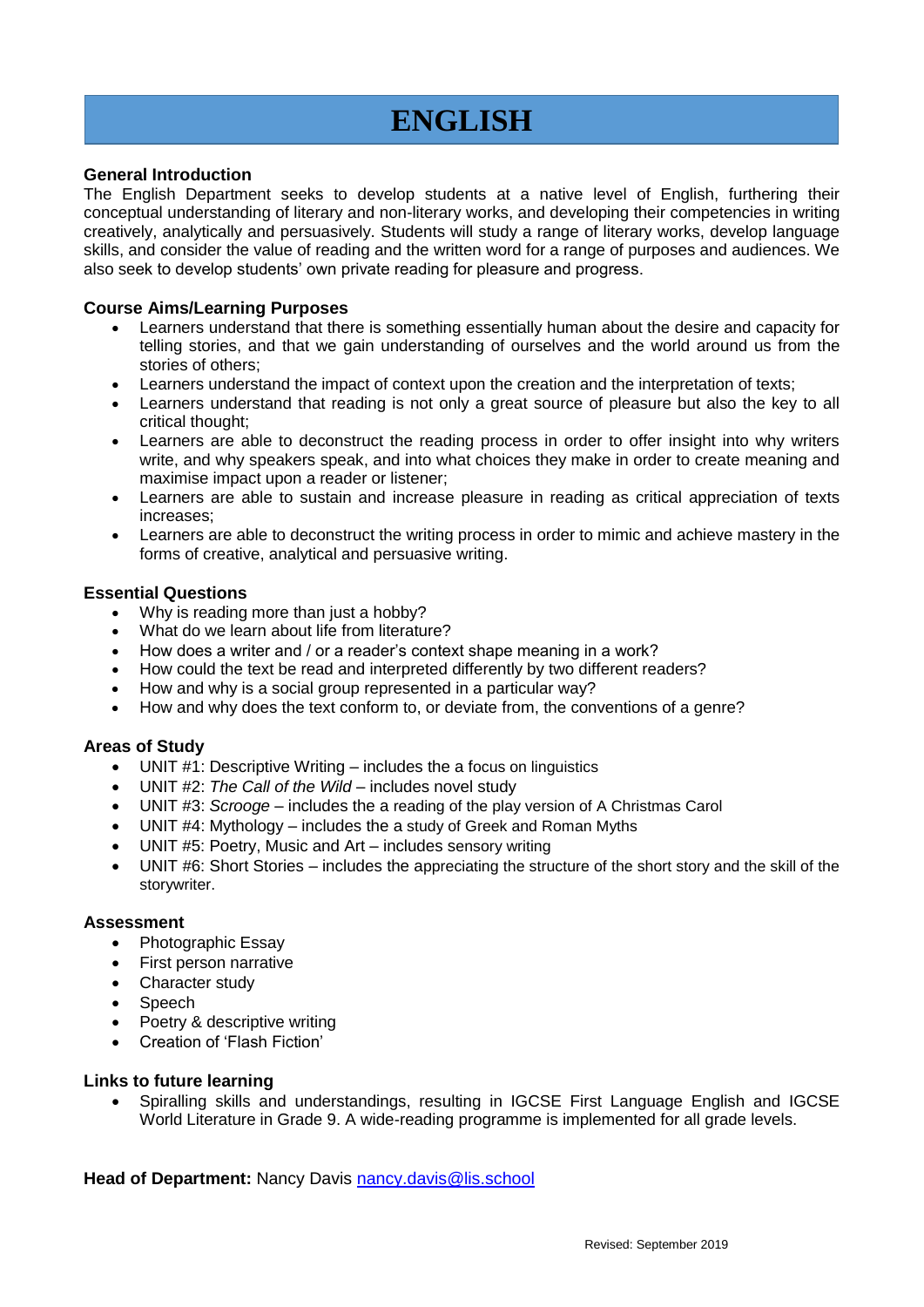# **ENGLISH**

#### **General Introduction**

The English Department seeks to develop students at a native level of English, furthering their conceptual understanding of literary and non-literary works, and developing their competencies in writing creatively, analytically and persuasively. Students will study a range of literary works, develop language skills, and consider the value of reading and the written word for a range of purposes and audiences. We also seek to develop students' own private reading for pleasure and progress.

#### **Course Aims/Learning Purposes**

- Learners understand that there is something essentially human about the desire and capacity for telling stories, and that we gain understanding of ourselves and the world around us from the stories of others;
- Learners understand the impact of context upon the creation and the interpretation of texts;
- Learners understand that reading is not only a great source of pleasure but also the key to all critical thought;
- Learners are able to deconstruct the reading process in order to offer insight into why writers write, and why speakers speak, and into what choices they make in order to create meaning and maximise impact upon a reader or listener;
- Learners are able to sustain and increase pleasure in reading as critical appreciation of texts increases;
- Learners are able to deconstruct the writing process in order to mimic and achieve mastery in the forms of creative, analytical and persuasive writing.

#### **Essential Questions**

- Why is reading more than just a hobby?
- What do we learn about life from literature?
- How does a writer and / or a reader's context shape meaning in a work?
- How could the text be read and interpreted differently by two different readers?
- How and why is a social group represented in a particular way?
- How and why does the text conform to, or deviate from, the conventions of a genre?

#### **Areas of Study**

- UNIT #1: Descriptive Writing includes the a focus on linguistics
- UNIT #2: *The Call of the Wild* includes novel study
- UNIT #3: *Scrooge* includes the a reading of the play version of A Christmas Carol
- UNIT #4: Mythology includes the a study of Greek and Roman Myths
- UNIT #5: Poetry, Music and Art includes sensory writing
- UNIT #6: Short Stories includes the appreciating the structure of the short story and the skill of the storywriter.

#### **Assessment**

- Photographic Essay
- First person narrative
- Character study
- Speech
- Poetry & descriptive writing
- Creation of 'Flash Fiction'

#### **Links to future learning**

 Spiralling skills and understandings, resulting in IGCSE First Language English and IGCSE World Literature in Grade 9. A wide-reading programme is implemented for all grade levels.

Head of Department: Nancy Davis [nancy.davis@lis.school](mailto:nancy.davis@lis.school)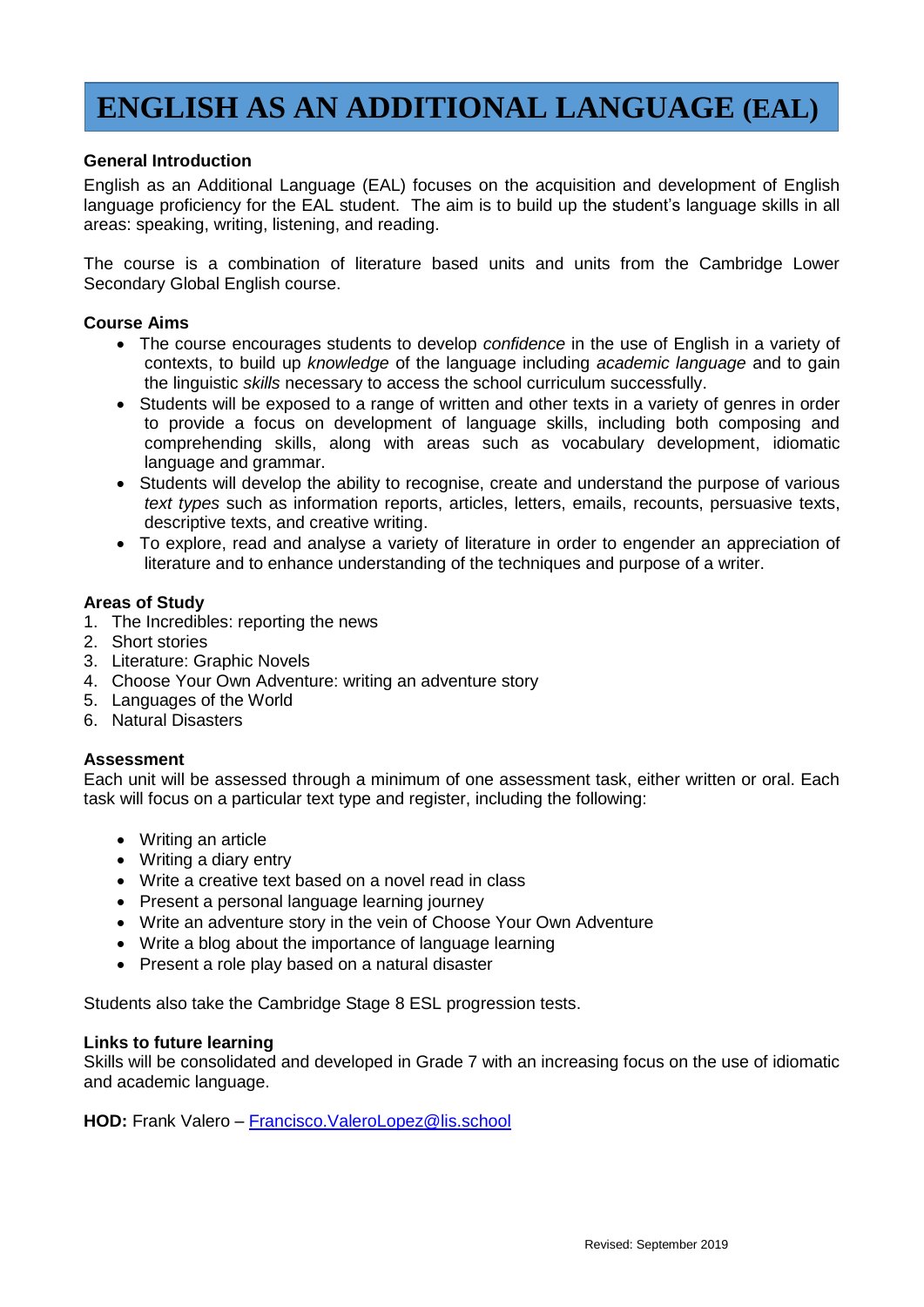## **ENGLISH AS AN ADDITIONAL LANGUAGE (EAL)**

#### **General Introduction**

English as an Additional Language (EAL) focuses on the acquisition and development of English language proficiency for the EAL student. The aim is to build up the student's language skills in all areas: speaking, writing, listening, and reading.

The course is a combination of literature based units and units from the Cambridge Lower Secondary Global English course.

#### **Course Aims**

- The course encourages students to develop *confidence* in the use of English in a variety of contexts, to build up *knowledge* of the language including *academic language* and to gain the linguistic *skills* necessary to access the school curriculum successfully.
- Students will be exposed to a range of written and other texts in a variety of genres in order to provide a focus on development of language skills, including both composing and comprehending skills, along with areas such as vocabulary development, idiomatic language and grammar.
- Students will develop the ability to recognise, create and understand the purpose of various *text types* such as information reports, articles, letters, emails, recounts, persuasive texts, descriptive texts, and creative writing.
- To explore, read and analyse a variety of literature in order to engender an appreciation of literature and to enhance understanding of the techniques and purpose of a writer.

#### **Areas of Study**

- 1. The Incredibles: reporting the news
- 2. Short stories
- 3. Literature: Graphic Novels
- 4. Choose Your Own Adventure: writing an adventure story
- 5. Languages of the World
- 6. Natural Disasters

#### **Assessment**

Each unit will be assessed through a minimum of one assessment task, either written or oral. Each task will focus on a particular text type and register, including the following:

- Writing an article
- Writing a diary entry
- Write a creative text based on a novel read in class
- Present a personal language learning journey
- Write an adventure story in the vein of Choose Your Own Adventure
- Write a blog about the importance of language learning
- Present a role play based on a natural disaster

Students also take the Cambridge Stage 8 ESL progression tests.

#### **Links to future learning**

Skills will be consolidated and developed in Grade 7 with an increasing focus on the use of idiomatic and academic language.

**HOD:** Frank Valero – [Francisco.ValeroLopez@lis.school](mailto:Francisco.ValeroLopez@lis.school)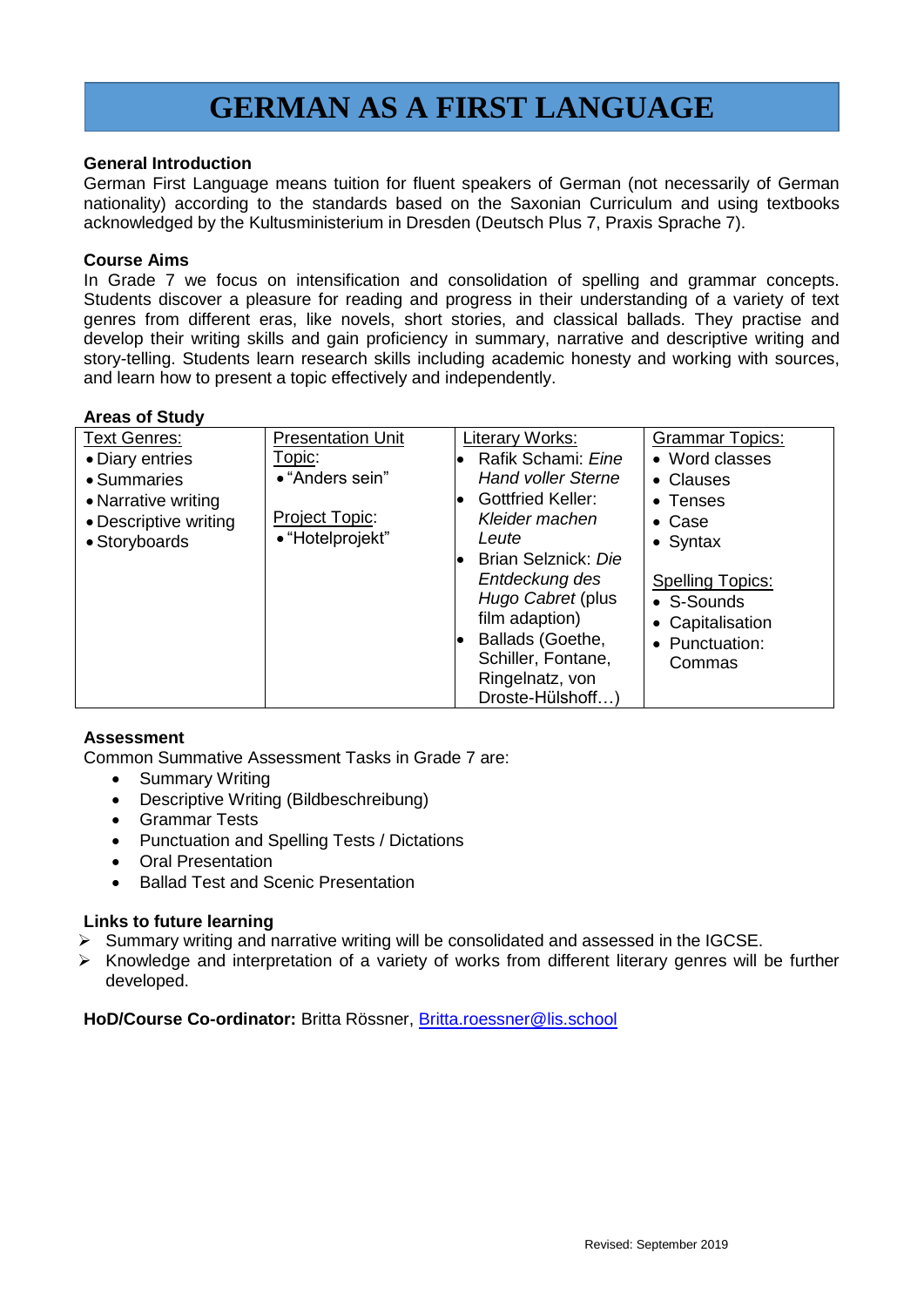## **GERMAN AS A FIRST LANGUAGE**

#### **General Introduction**

German First Language means tuition for fluent speakers of German (not necessarily of German nationality) according to the standards based on the Saxonian Curriculum and using textbooks acknowledged by the Kultusministerium in Dresden (Deutsch Plus 7, Praxis Sprache 7).

#### **Course Aims**

In Grade 7 we focus on intensification and consolidation of spelling and grammar concepts. Students discover a pleasure for reading and progress in their understanding of a variety of text genres from different eras, like novels, short stories, and classical ballads. They practise and develop their writing skills and gain proficiency in summary, narrative and descriptive writing and story-telling. Students learn research skills including academic honesty and working with sources, and learn how to present a topic effectively and independently.

#### **Areas of Study**

| <b>Text Genres:</b>   | <b>Presentation Unit</b> | Literary Works:           | <b>Grammar Topics:</b>  |
|-----------------------|--------------------------|---------------------------|-------------------------|
| • Diary entries       | Topic:                   | Rafik Schami: Eine        | • Word classes          |
| • Summaries           | • "Anders sein"          | <b>Hand voller Sterne</b> | • Clauses               |
| • Narrative writing   |                          | <b>Gottfried Keller:</b>  | $\bullet$ Tenses        |
| • Descriptive writing | Project Topic:           | Kleider machen            | $\bullet$ Case          |
| • Storyboards         | • "Hotelprojekt"         | Leute                     | $\bullet$ Syntax        |
|                       |                          | Brian Selznick: Die       |                         |
|                       |                          | Entdeckung des            | <b>Spelling Topics:</b> |
|                       |                          | Hugo Cabret (plus         | • S-Sounds              |
|                       |                          | film adaption)            | • Capitalisation        |
|                       |                          | Ballads (Goethe,          | • Punctuation:          |
|                       |                          | Schiller, Fontane,        | Commas                  |
|                       |                          | Ringelnatz, von           |                         |
|                       |                          | Droste-Hülshoff           |                         |

#### **Assessment**

Common Summative Assessment Tasks in Grade 7 are:

- Summary Writing
- Descriptive Writing (Bildbeschreibung)
- Grammar Tests
- Punctuation and Spelling Tests / Dictations
- Oral Presentation
- Ballad Test and Scenic Presentation

#### **Links to future learning**

- $\triangleright$  Summary writing and narrative writing will be consolidated and assessed in the IGCSE.
- $\triangleright$  Knowledge and interpretation of a variety of works from different literary genres will be further developed.

HoD/Course Co-ordinator: Britta Rössner, [Britta.roessner@lis.school](mailto:Britta.roessner@lis.school)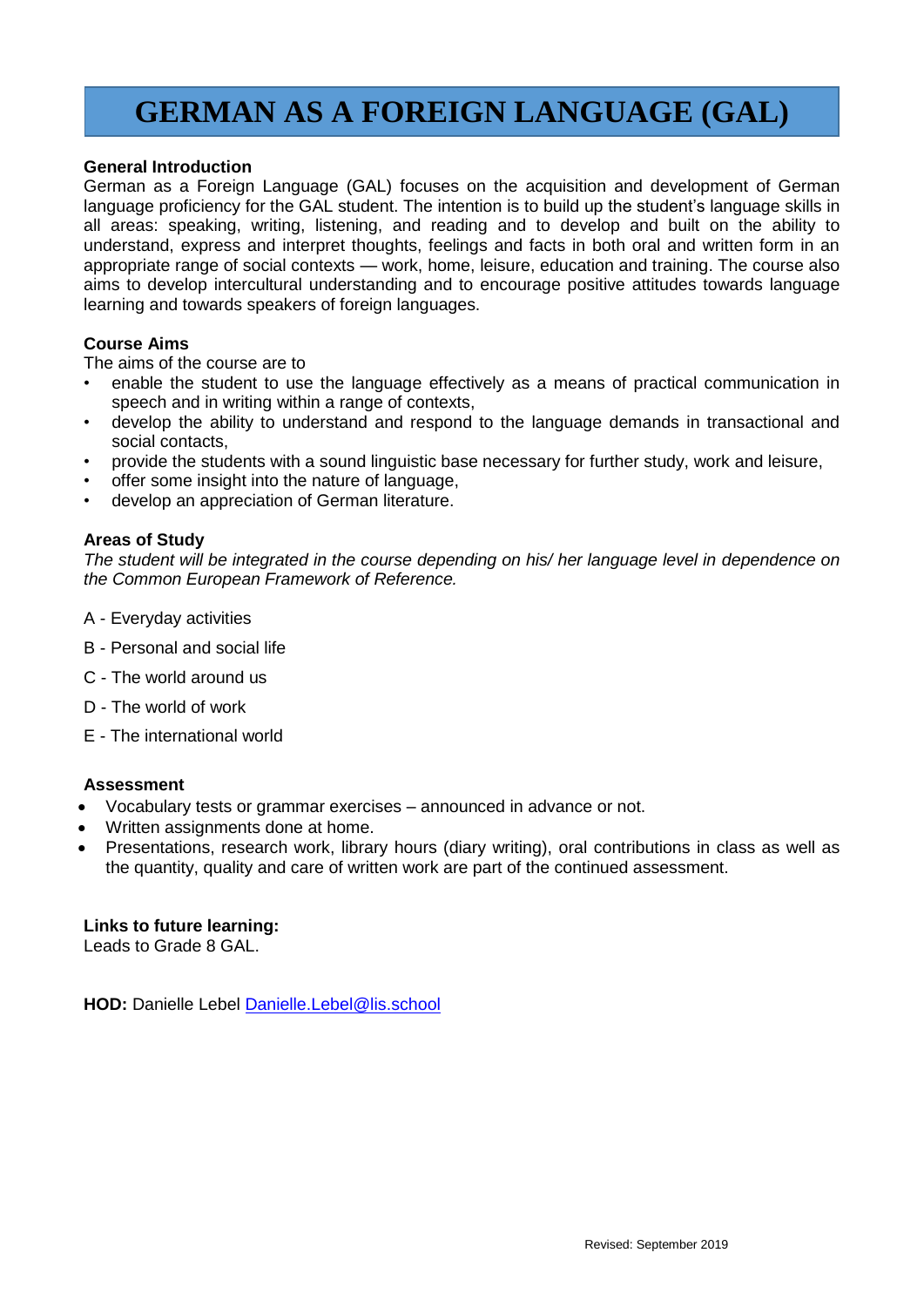## **GERMAN AS A FOREIGN LANGUAGE (GAL)**

#### **General Introduction**

German as a Foreign Language (GAL) focuses on the acquisition and development of German language proficiency for the GAL student. The intention is to build up the student's language skills in all areas: speaking, writing, listening, and reading and to develop and built on the ability to understand, express and interpret thoughts, feelings and facts in both oral and written form in an appropriate range of social contexts — work, home, leisure, education and training. The course also aims to develop intercultural understanding and to encourage positive attitudes towards language learning and towards speakers of foreign languages.

#### **Course Aims**

The aims of the course are to

- enable the student to use the language effectively as a means of practical communication in speech and in writing within a range of contexts,
- develop the ability to understand and respond to the language demands in transactional and social contacts,
- provide the students with a sound linguistic base necessary for further study, work and leisure,
- offer some insight into the nature of language,
- develop an appreciation of German literature.

#### **Areas of Study**

*The student will be integrated in the course depending on his/ her language level in dependence on the Common European Framework of Reference.*

- A Everyday activities
- B Personal and social life
- C The world around us
- D The world of work
- E The international world

#### **Assessment**

- Vocabulary tests or grammar exercises announced in advance or not.
- Written assignments done at home.
- Presentations, research work, library hours (diary writing), oral contributions in class as well as the quantity, quality and care of written work are part of the continued assessment.

#### **Links to future learning:**

Leads to Grade 8 GAL.

**HOD:** Danielle Lebel [Danielle.Lebel@lis.school](mailto:Danielle.Lebel@lis.school)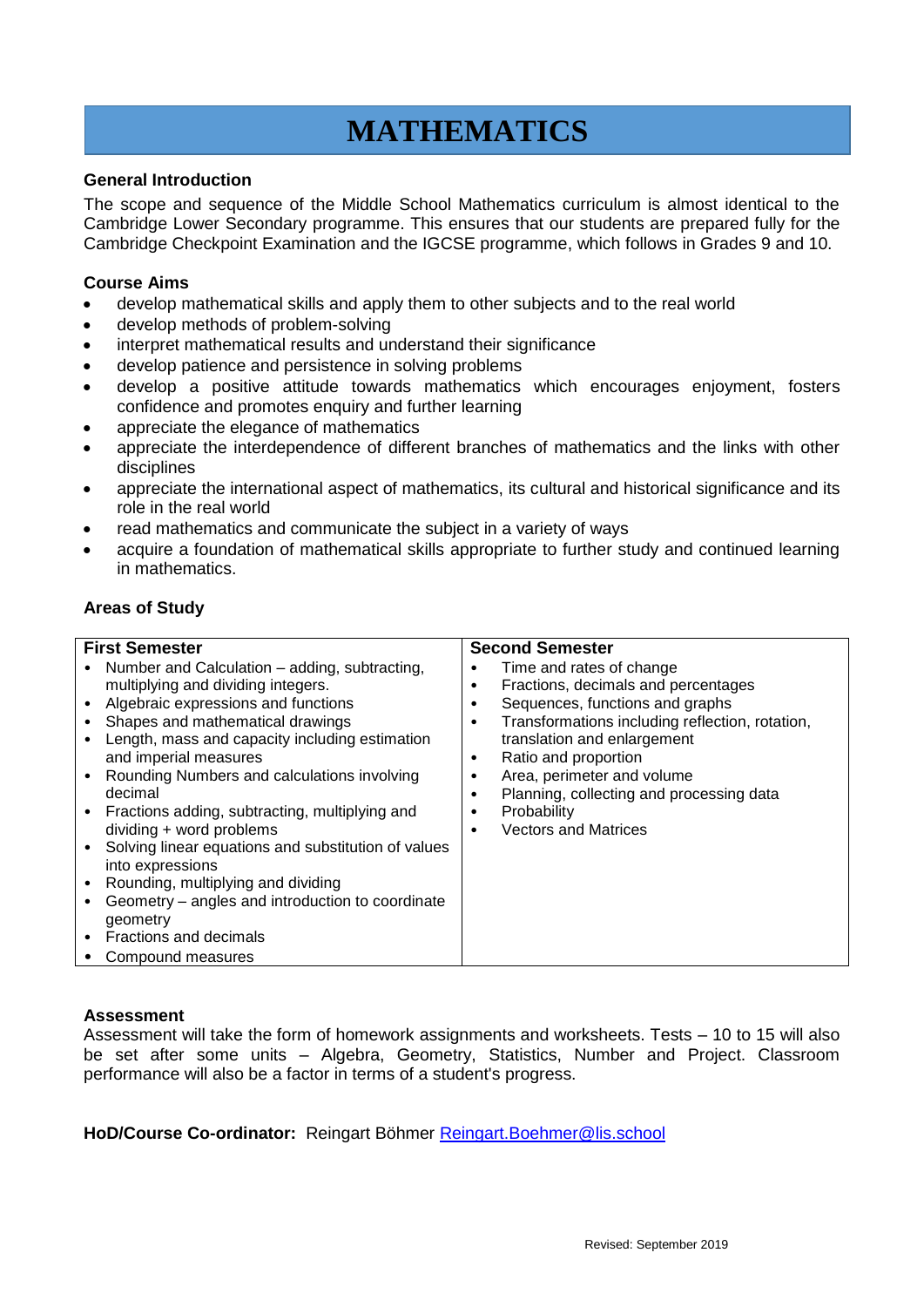# **MATHEMATICS**

#### **General Introduction**

The scope and sequence of the Middle School Mathematics curriculum is almost identical to the Cambridge Lower Secondary programme. This ensures that our students are prepared fully for the Cambridge Checkpoint Examination and the IGCSE programme, which follows in Grades 9 and 10.

#### **Course Aims**

- develop mathematical skills and apply them to other subjects and to the real world
- develop methods of problem-solving
- interpret mathematical results and understand their significance
- develop patience and persistence in solving problems
- develop a positive attitude towards mathematics which encourages enjoyment, fosters confidence and promotes enquiry and further learning
- appreciate the elegance of mathematics
- appreciate the interdependence of different branches of mathematics and the links with other disciplines
- appreciate the international aspect of mathematics, its cultural and historical significance and its role in the real world
- read mathematics and communicate the subject in a variety of ways
- acquire a foundation of mathematical skills appropriate to further study and continued learning in mathematics.

#### **Areas of Study**

| <b>First Semester</b>                                                                                                                                                                                                                                                                                                                                                                                                                                                                                                                                                                                               | <b>Second Semester</b>                                                                                                                                                                                                                                                                                                                                                       |
|---------------------------------------------------------------------------------------------------------------------------------------------------------------------------------------------------------------------------------------------------------------------------------------------------------------------------------------------------------------------------------------------------------------------------------------------------------------------------------------------------------------------------------------------------------------------------------------------------------------------|------------------------------------------------------------------------------------------------------------------------------------------------------------------------------------------------------------------------------------------------------------------------------------------------------------------------------------------------------------------------------|
| Number and Calculation – adding, subtracting,<br>multiplying and dividing integers.<br>Algebraic expressions and functions<br>Shapes and mathematical drawings<br>Length, mass and capacity including estimation<br>and imperial measures<br>Rounding Numbers and calculations involving<br>decimal<br>Fractions adding, subtracting, multiplying and<br>dividing + word problems<br>Solving linear equations and substitution of values<br>into expressions<br>Rounding, multiplying and dividing<br>Geometry – angles and introduction to coordinate<br>geometry<br>• Fractions and decimals<br>Compound measures | Time and rates of change<br>Fractions, decimals and percentages<br>٠<br>Sequences, functions and graphs<br>٠<br>Transformations including reflection, rotation,<br>٠<br>translation and enlargement<br>Ratio and proportion<br>٠<br>Area, perimeter and volume<br>٠<br>Planning, collecting and processing data<br>٠<br>Probability<br>٠<br><b>Vectors and Matrices</b><br>٠ |

#### **Assessment**

Assessment will take the form of homework assignments and worksheets. Tests – 10 to 15 will also be set after some units – Algebra, Geometry, Statistics, Number and Project. Classroom performance will also be a factor in terms of a student's progress.

**HoD/Course Co-ordinator:** Reingart Böhmer [Reingart.Boehmer@lis.school](mailto:Reingart.Boehmer@lis.school)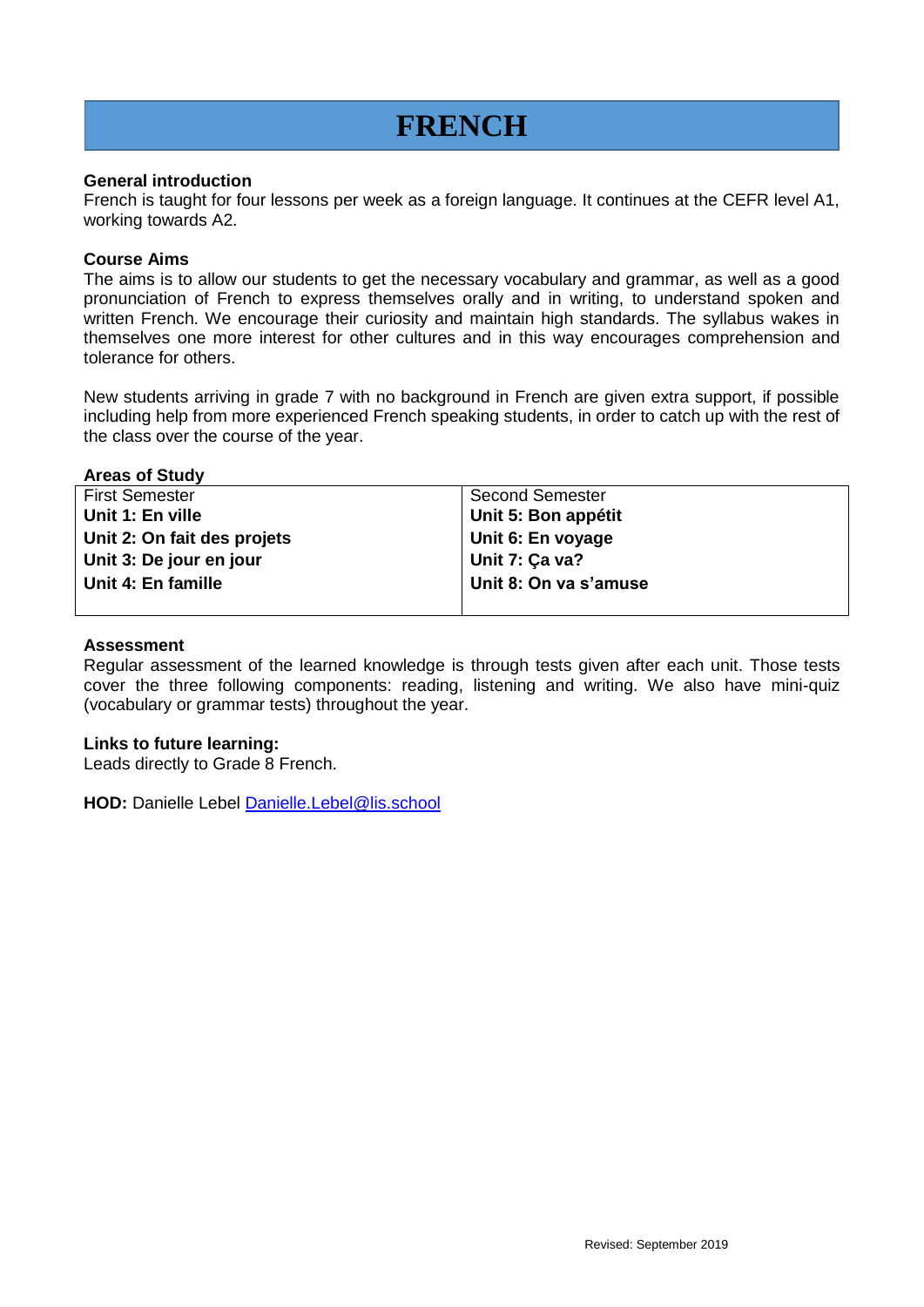## **FRENCH**

#### **General introduction**

French is taught for four lessons per week as a foreign language. It continues at the CEFR level A1, working towards A2.

#### **Course Aims**

The aims is to allow our students to get the necessary vocabulary and grammar, as well as a good pronunciation of French to express themselves orally and in writing, to understand spoken and written French. We encourage their curiosity and maintain high standards. The syllabus wakes in themselves one more interest for other cultures and in this way encourages comprehension and tolerance for others.

New students arriving in grade 7 with no background in French are given extra support, if possible including help from more experienced French speaking students, in order to catch up with the rest of the class over the course of the year.

#### **Areas of Study**

| <b>First Semester</b>       | <b>Second Semester</b> |
|-----------------------------|------------------------|
| Unit 1: En ville            | Unit 5: Bon appétit    |
| Unit 2: On fait des projets | Unit 6: En voyage      |
| Unit 3: De jour en jour     | Unit 7: Ça va?         |
| Unit 4: En famille          | Unit 8: On va s'amuse  |
|                             |                        |

#### **Assessment**

Regular assessment of the learned knowledge is through tests given after each unit. Those tests cover the three following components: reading, listening and writing. We also have mini-quiz (vocabulary or grammar tests) throughout the year.

#### **Links to future learning:**

Leads directly to Grade 8 French.

**HOD:** Danielle Lebel **Danielle.Lebel@lis.school**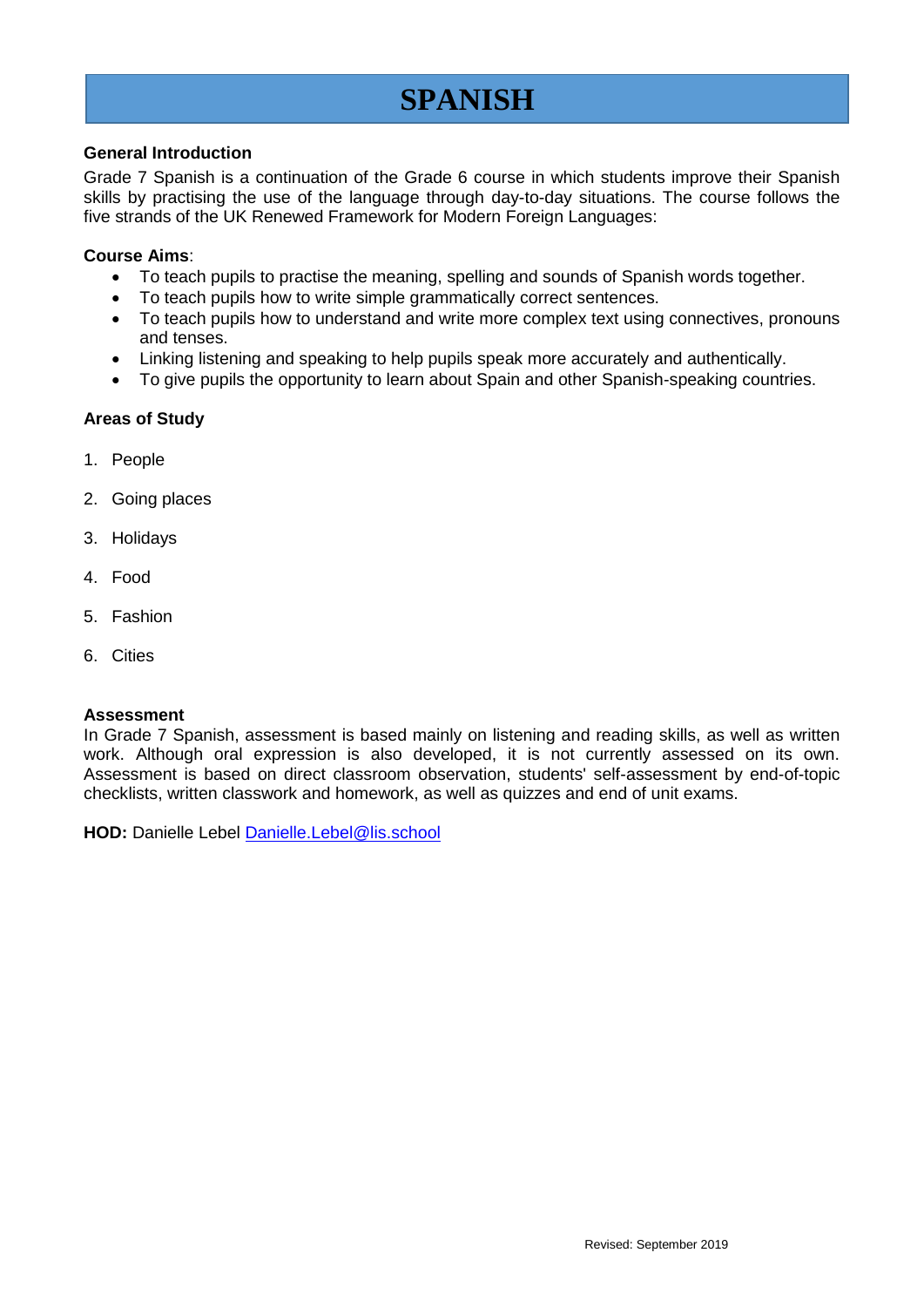## **SPANISH**

#### **General Introduction**

Grade 7 Spanish is a continuation of the Grade 6 course in which students improve their Spanish skills by practising the use of the language through day-to-day situations. The course follows the five strands of the UK Renewed Framework for Modern Foreign Languages:

#### **Course Aims**:

- To teach pupils to practise the meaning, spelling and sounds of Spanish words together.
- To teach pupils how to write simple grammatically correct sentences.
- To teach pupils how to understand and write more complex text using connectives, pronouns and tenses.
- Linking listening and speaking to help pupils speak more accurately and authentically.
- To give pupils the opportunity to learn about Spain and other Spanish-speaking countries.

#### **Areas of Study**

- 1. People
- 2. Going places
- 3. Holidays
- 4. Food
- 5. Fashion
- 6. Cities

#### **Assessment**

In Grade 7 Spanish, assessment is based mainly on listening and reading skills, as well as written work. Although oral expression is also developed, it is not currently assessed on its own. Assessment is based on direct classroom observation, students' self-assessment by end-of-topic checklists, written classwork and homework, as well as quizzes and end of unit exams.

HOD: Danielle Lebel [Danielle.Lebel@lis.school](mailto:Danielle.Lebel@lis.school)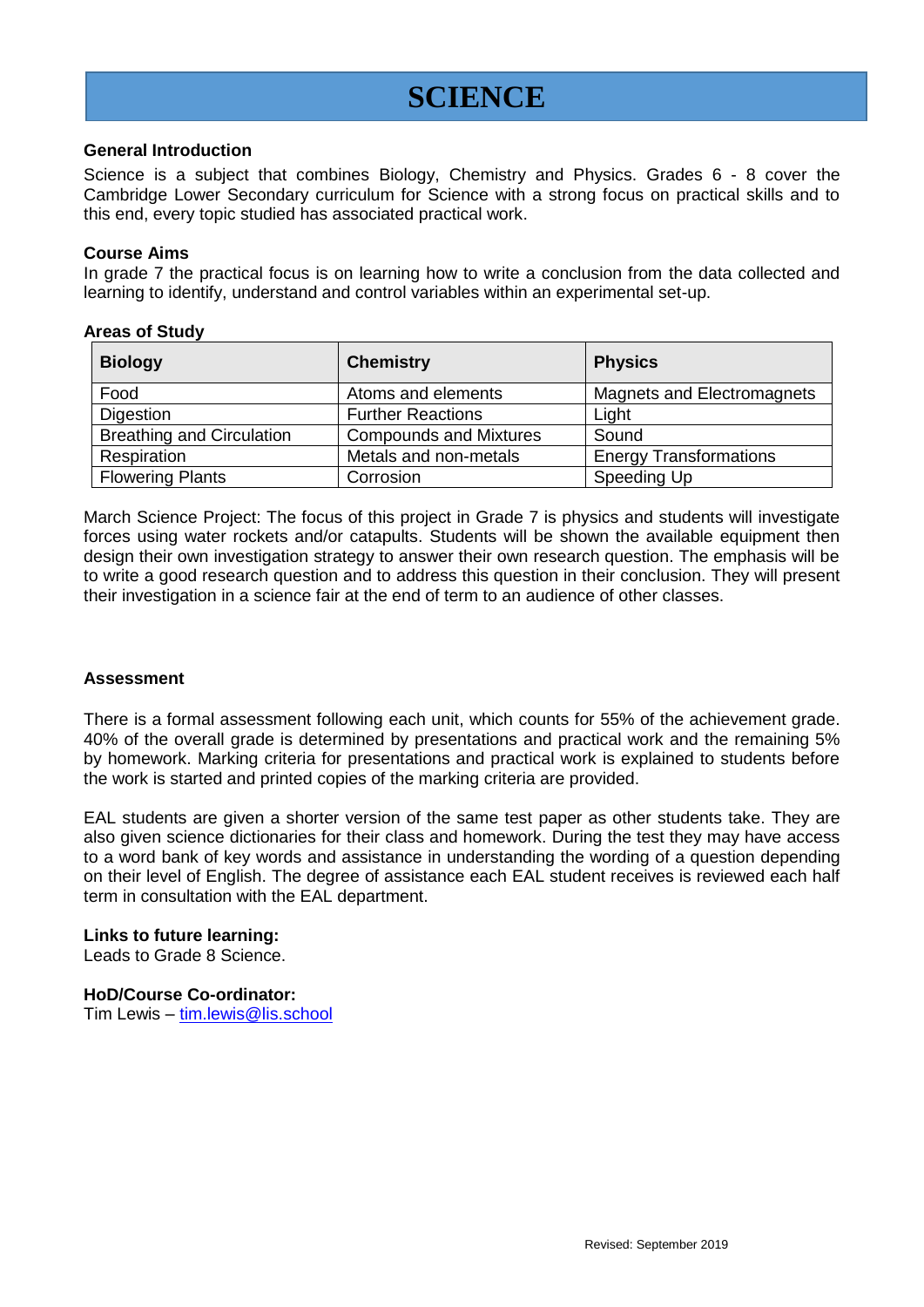### **SCIENCE**

#### **General Introduction**

Science is a subject that combines Biology, Chemistry and Physics. Grades 6 - 8 cover the Cambridge Lower Secondary curriculum for Science with a strong focus on practical skills and to this end, every topic studied has associated practical work.

#### **Course Aims**

In grade 7 the practical focus is on learning how to write a conclusion from the data collected and learning to identify, understand and control variables within an experimental set-up.

#### **Areas of Study**

| <b>Biology</b>                   | <b>Chemistry</b>              | <b>Physics</b>                |
|----------------------------------|-------------------------------|-------------------------------|
| Food                             | Atoms and elements            | Magnets and Electromagnets    |
| Digestion                        | <b>Further Reactions</b>      | Light                         |
| <b>Breathing and Circulation</b> | <b>Compounds and Mixtures</b> | Sound                         |
| Respiration                      | Metals and non-metals         | <b>Energy Transformations</b> |
| <b>Flowering Plants</b>          | Corrosion                     | Speeding Up                   |

March Science Project: The focus of this project in Grade 7 is physics and students will investigate forces using water rockets and/or catapults. Students will be shown the available equipment then design their own investigation strategy to answer their own research question. The emphasis will be to write a good research question and to address this question in their conclusion. They will present their investigation in a science fair at the end of term to an audience of other classes.

#### **Assessment**

There is a formal assessment following each unit, which counts for 55% of the achievement grade. 40% of the overall grade is determined by presentations and practical work and the remaining 5% by homework. Marking criteria for presentations and practical work is explained to students before the work is started and printed copies of the marking criteria are provided.

EAL students are given a shorter version of the same test paper as other students take. They are also given science dictionaries for their class and homework. During the test they may have access to a word bank of key words and assistance in understanding the wording of a question depending on their level of English. The degree of assistance each EAL student receives is reviewed each half term in consultation with the EAL department.

#### **Links to future learning:**

Leads to Grade 8 Science.

#### **HoD/Course Co-ordinator:**

Tim Lewis – [tim.lewis@lis.school](mailto:tim.lewis@lis.school)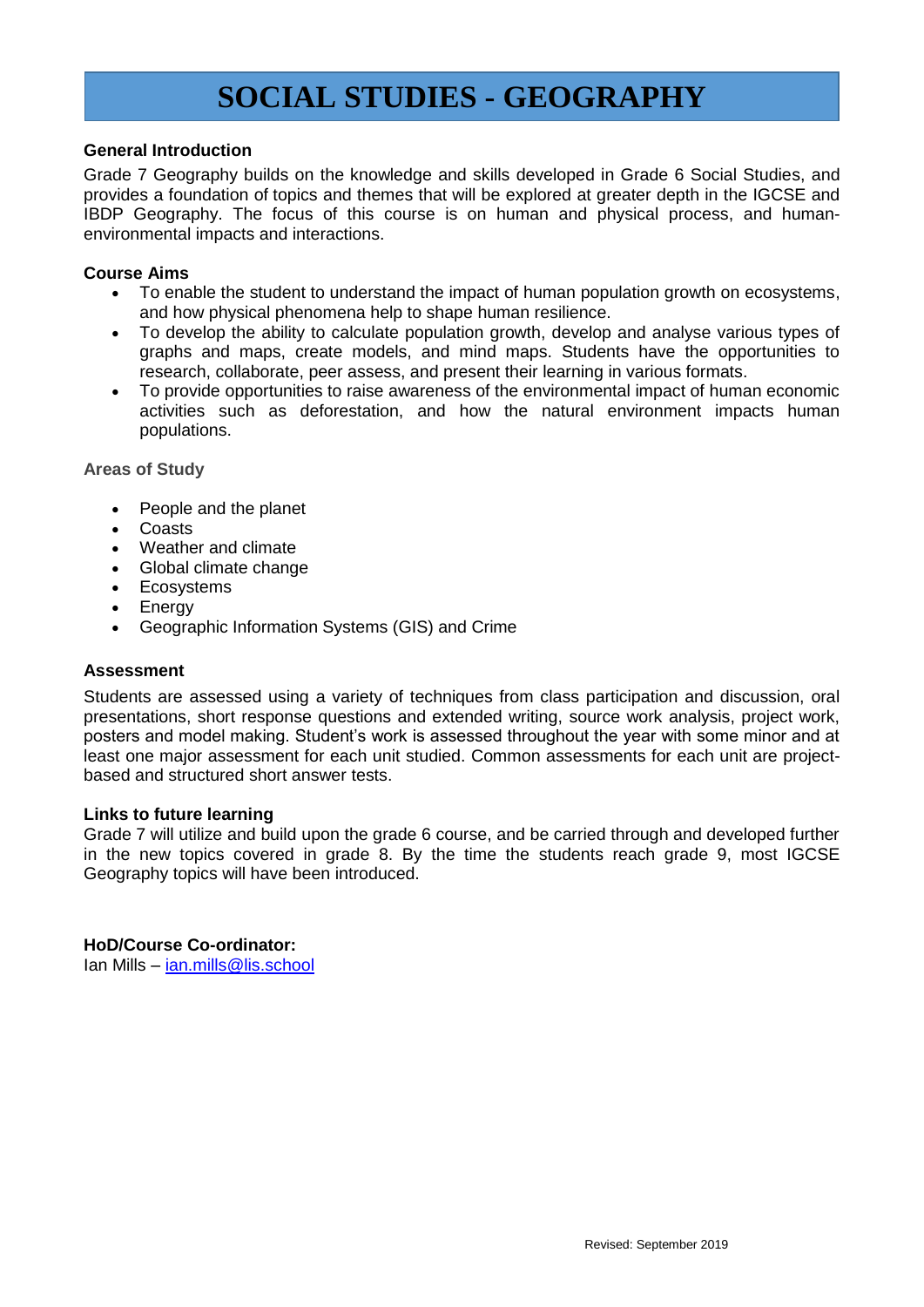### **SOCIAL STUDIES - GEOGRAPHY**

#### **General Introduction**

Grade 7 Geography builds on the knowledge and skills developed in Grade 6 Social Studies, and provides a foundation of topics and themes that will be explored at greater depth in the IGCSE and IBDP Geography. The focus of this course is on human and physical process, and humanenvironmental impacts and interactions.

#### **Course Aims**

- To enable the student to understand the impact of human population growth on ecosystems, and how physical phenomena help to shape human resilience.
- To develop the ability to calculate population growth, develop and analyse various types of graphs and maps, create models, and mind maps. Students have the opportunities to research, collaborate, peer assess, and present their learning in various formats.
- To provide opportunities to raise awareness of the environmental impact of human economic activities such as deforestation, and how the natural environment impacts human populations.

#### **Areas of Study**

- People and the planet
- Coasts
- Weather and climate
- Global climate change
- Ecosystems
- Energy
- Geographic Information Systems (GIS) and Crime

#### **Assessment**

Students are assessed using a variety of techniques from class participation and discussion, oral presentations, short response questions and extended writing, source work analysis, project work, posters and model making. Student's work is assessed throughout the year with some minor and at least one major assessment for each unit studied. Common assessments for each unit are projectbased and structured short answer tests.

#### **Links to future learning**

Grade 7 will utilize and build upon the grade 6 course, and be carried through and developed further in the new topics covered in grade 8. By the time the students reach grade 9, most IGCSE Geography topics will have been introduced.

#### **HoD/Course Co-ordinator:**

Ian Mills – [ian.mills@lis.school](mailto:ian.mills@lis.school)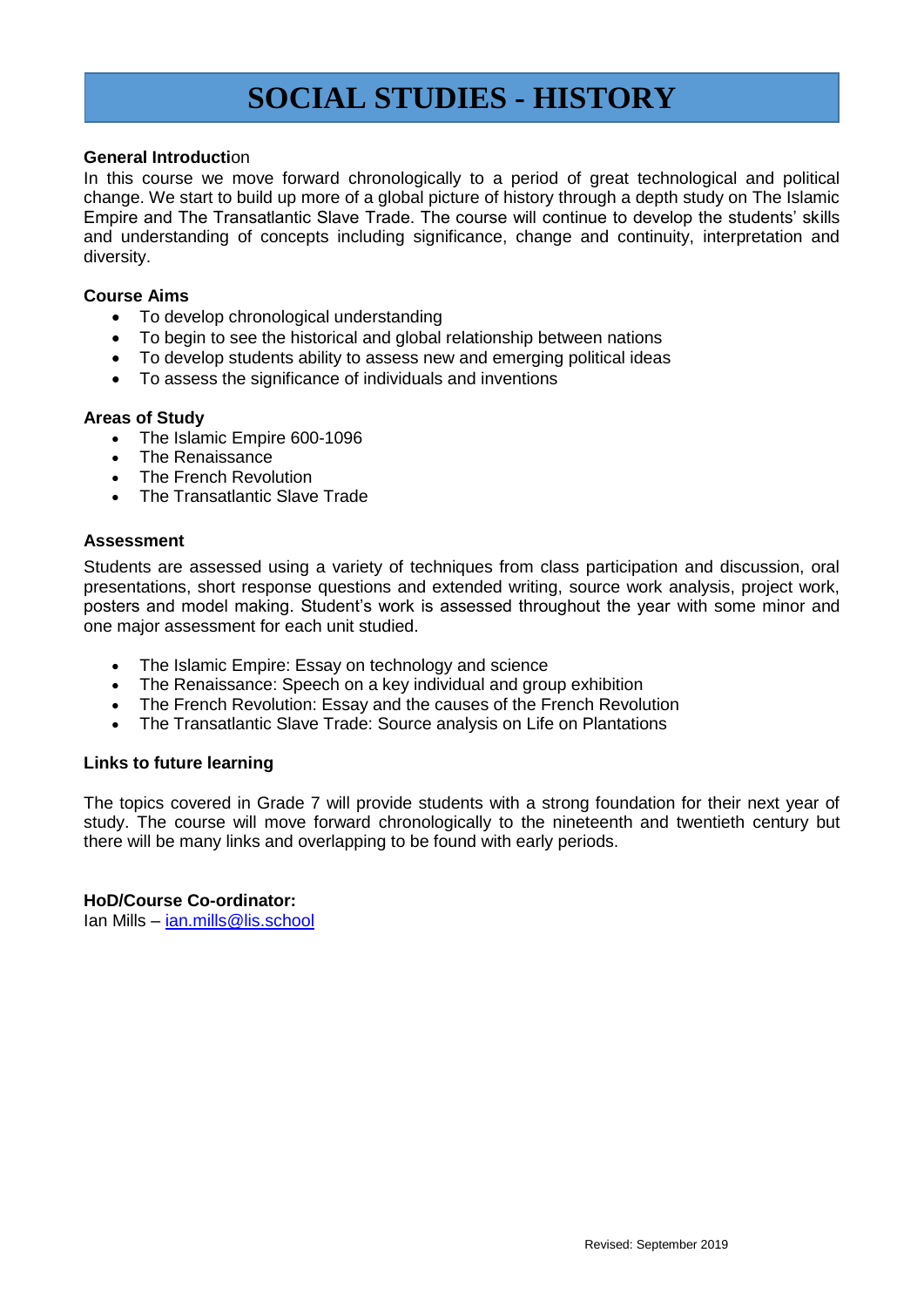## **SOCIAL STUDIES - HISTORY**

#### **General Introducti**on

In this course we move forward chronologically to a period of great technological and political change. We start to build up more of a global picture of history through a depth study on The Islamic Empire and The Transatlantic Slave Trade. The course will continue to develop the students' skills and understanding of concepts including significance, change and continuity, interpretation and diversity.

#### **Course Aims**

- To develop chronological understanding
- To begin to see the historical and global relationship between nations
- To develop students ability to assess new and emerging political ideas
- To assess the significance of individuals and inventions

#### **Areas of Study**

- The Islamic Empire 600-1096
- The Renaissance
- The French Revolution
- The Transatlantic Slave Trade

#### **Assessment**

Students are assessed using a variety of techniques from class participation and discussion, oral presentations, short response questions and extended writing, source work analysis, project work, posters and model making. Student's work is assessed throughout the year with some minor and one major assessment for each unit studied.

- The Islamic Empire: Essay on technology and science
- The Renaissance: Speech on a key individual and group exhibition
- The French Revolution: Essay and the causes of the French Revolution
- The Transatlantic Slave Trade: Source analysis on Life on Plantations

#### **Links to future learning**

The topics covered in Grade 7 will provide students with a strong foundation for their next year of study. The course will move forward chronologically to the nineteenth and twentieth century but there will be many links and overlapping to be found with early periods.

**HoD/Course Co-ordinator:** Ian Mills – [ian.mills@lis.school](mailto:ian.mills@lis.school)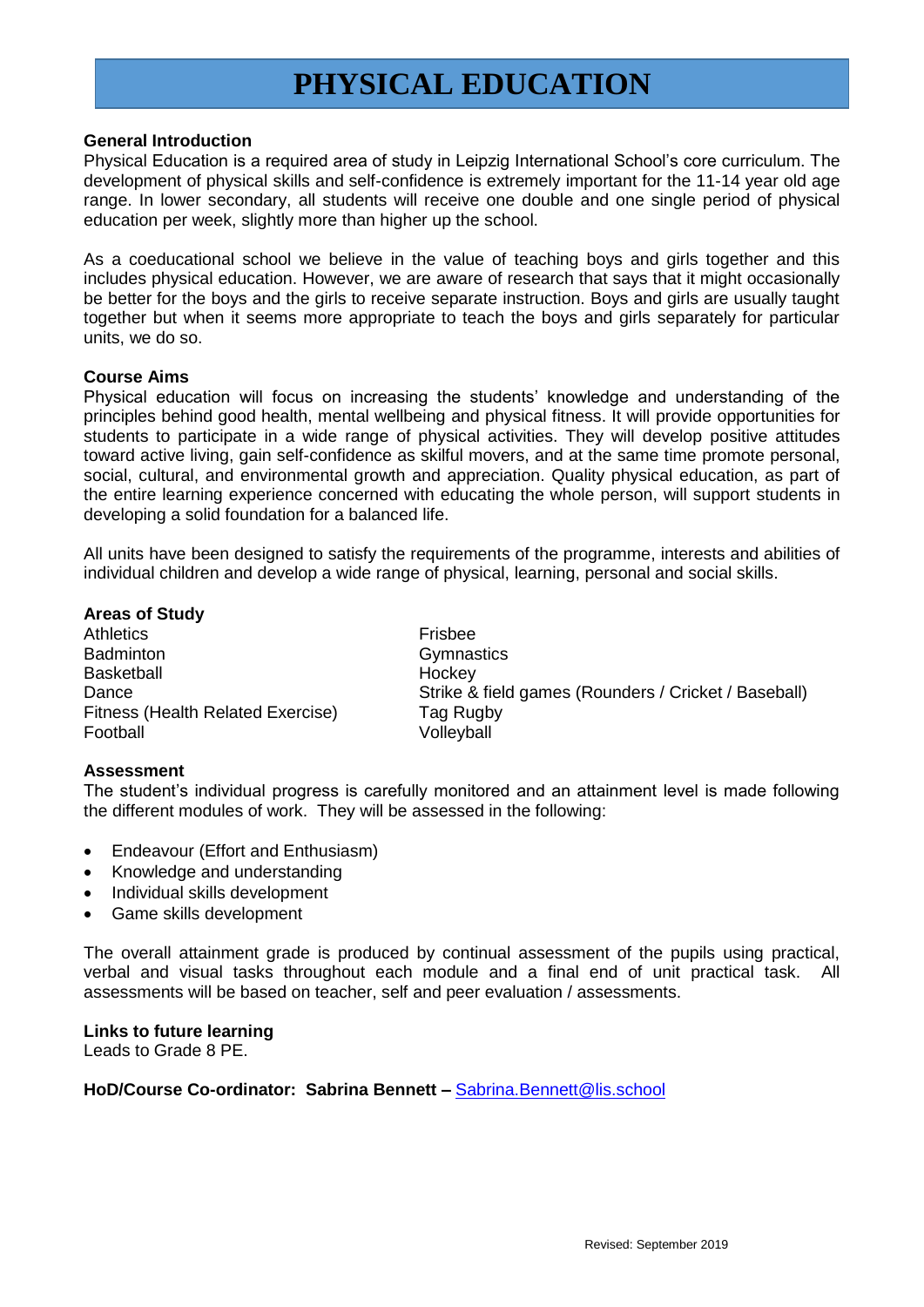## **PHYSICAL EDUCATION**

#### **General Introduction**

Physical Education is a required area of study in Leipzig International School's core curriculum. The development of physical skills and self-confidence is extremely important for the 11-14 year old age range. In lower secondary, all students will receive one double and one single period of physical education per week, slightly more than higher up the school.

As a coeducational school we believe in the value of teaching boys and girls together and this includes physical education. However, we are aware of research that says that it might occasionally be better for the boys and the girls to receive separate instruction. Boys and girls are usually taught together but when it seems more appropriate to teach the boys and girls separately for particular units, we do so.

#### **Course Aims**

Physical education will focus on increasing the students' knowledge and understanding of the principles behind good health, mental wellbeing and physical fitness. It will provide opportunities for students to participate in a wide range of physical activities. They will develop positive attitudes toward active living, gain self-confidence as skilful movers, and at the same time promote personal, social, cultural, and environmental growth and appreciation. Quality physical education, as part of the entire learning experience concerned with educating the whole person, will support students in developing a solid foundation for a balanced life.

All units have been designed to satisfy the requirements of the programme, interests and abilities of individual children and develop a wide range of physical, learning, personal and social skills.

#### **Areas of Study**

Athletics **Frisbee** Badminton Gymnastics Basketball **Hockey** Fitness (Health Related Exercise) Tag Rugby Football Volleyball

Dance **Strike & field games (Rounders / Cricket / Baseball)** Strike & field games (Rounders / Cricket / Baseball)

#### **Assessment**

The student's individual progress is carefully monitored and an attainment level is made following the different modules of work. They will be assessed in the following:

- Endeavour (Effort and Enthusiasm)
- Knowledge and understanding
- Individual skills development
- Game skills development

The overall attainment grade is produced by continual assessment of the pupils using practical, verbal and visual tasks throughout each module and a final end of unit practical task. All assessments will be based on teacher, self and peer evaluation / assessments.

**Links to future learning** Leads to Grade 8 PE.

HoD/Course Co-ordinator: Sabrina Bennett – [Sabrina.Bennett@lis.school](mailto:Sabrina.Bennett@lis.school)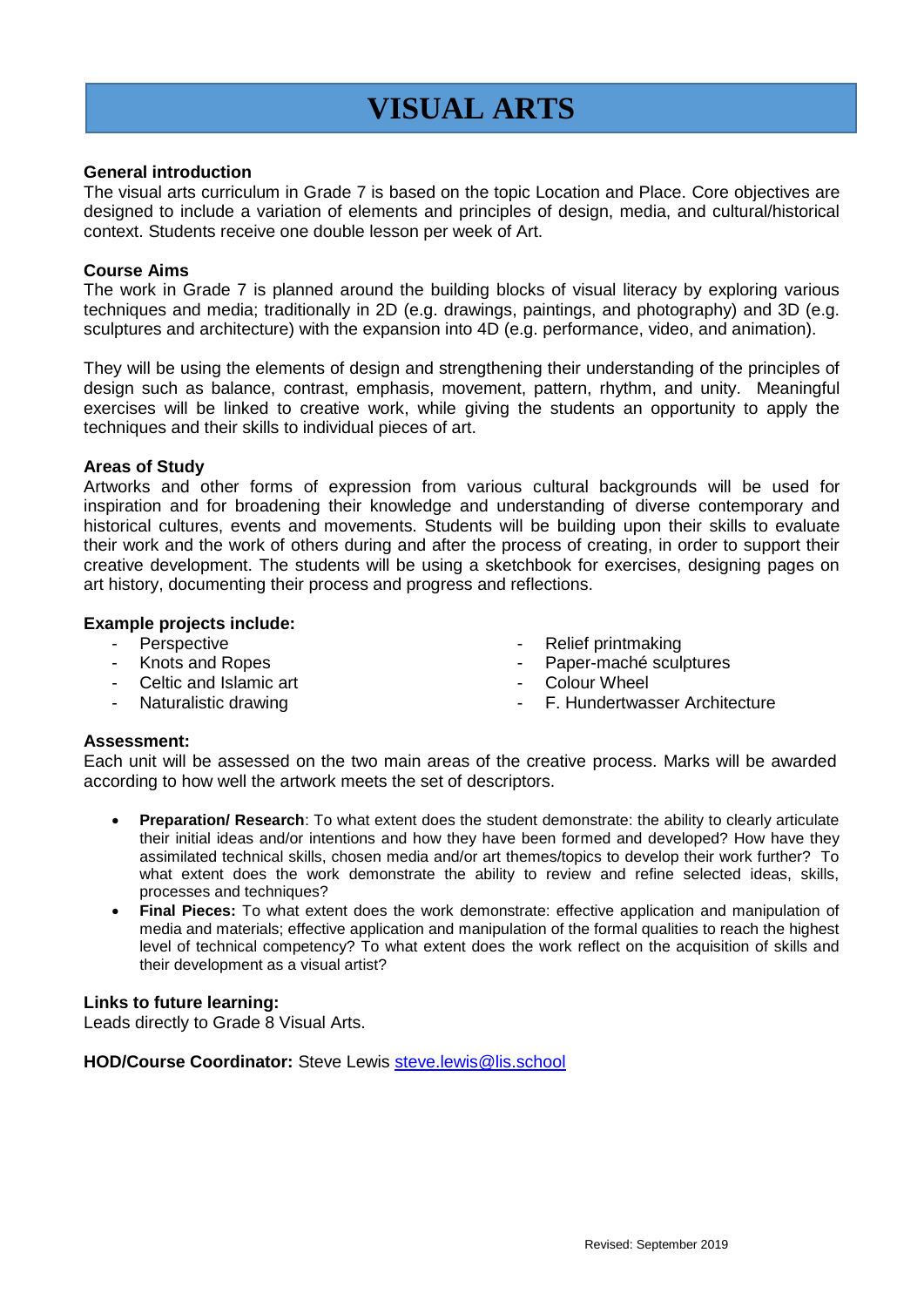# **VISUAL ARTS**

#### **General introduction**

The visual arts curriculum in Grade 7 is based on the topic Location and Place. Core objectives are designed to include a variation of elements and principles of design, media, and cultural/historical context. Students receive one double lesson per week of Art.

#### **Course Aims**

The work in Grade 7 is planned around the building blocks of visual literacy by exploring various techniques and media; traditionally in 2D (e.g. drawings, paintings, and photography) and 3D (e.g. sculptures and architecture) with the expansion into 4D (e.g. performance, video, and animation).

They will be using the elements of design and strengthening their understanding of the principles of design such as balance, contrast, emphasis, movement, pattern, rhythm, and unity. Meaningful exercises will be linked to creative work, while giving the students an opportunity to apply the techniques and their skills to individual pieces of art.

#### **Areas of Study**

Artworks and other forms of expression from various cultural backgrounds will be used for inspiration and for broadening their knowledge and understanding of diverse contemporary and historical cultures, events and movements. Students will be building upon their skills to evaluate their work and the work of others during and after the process of creating, in order to support their creative development. The students will be using a sketchbook for exercises, designing pages on art history, documenting their process and progress and reflections.

#### **Example projects include:**

- Perspective
- Knots and Ropes
- Celtic and Islamic art
- Naturalistic drawing
- Relief printmaking
- Paper-maché sculptures
- Colour Wheel
	- F. Hundertwasser Architecture

#### **Assessment:**

Each unit will be assessed on the two main areas of the creative process. Marks will be awarded according to how well the artwork meets the set of descriptors.

- **Preparation/ Research**: To what extent does the student demonstrate: the ability to clearly articulate their initial ideas and/or intentions and how they have been formed and developed? How have they assimilated technical skills, chosen media and/or art themes/topics to develop their work further? To what extent does the work demonstrate the ability to review and refine selected ideas, skills, processes and techniques?
- **Final Pieces:** To what extent does the work demonstrate: effective application and manipulation of media and materials; effective application and manipulation of the formal qualities to reach the highest level of technical competency? To what extent does the work reflect on the acquisition of skills and their development as a visual artist?

#### **Links to future learning:**

Leads directly to Grade 8 Visual Arts.

**HOD/Course Coordinator:** Steve Lewis [steve.lewis@lis.school](mailto:steve.lewis@lis.school)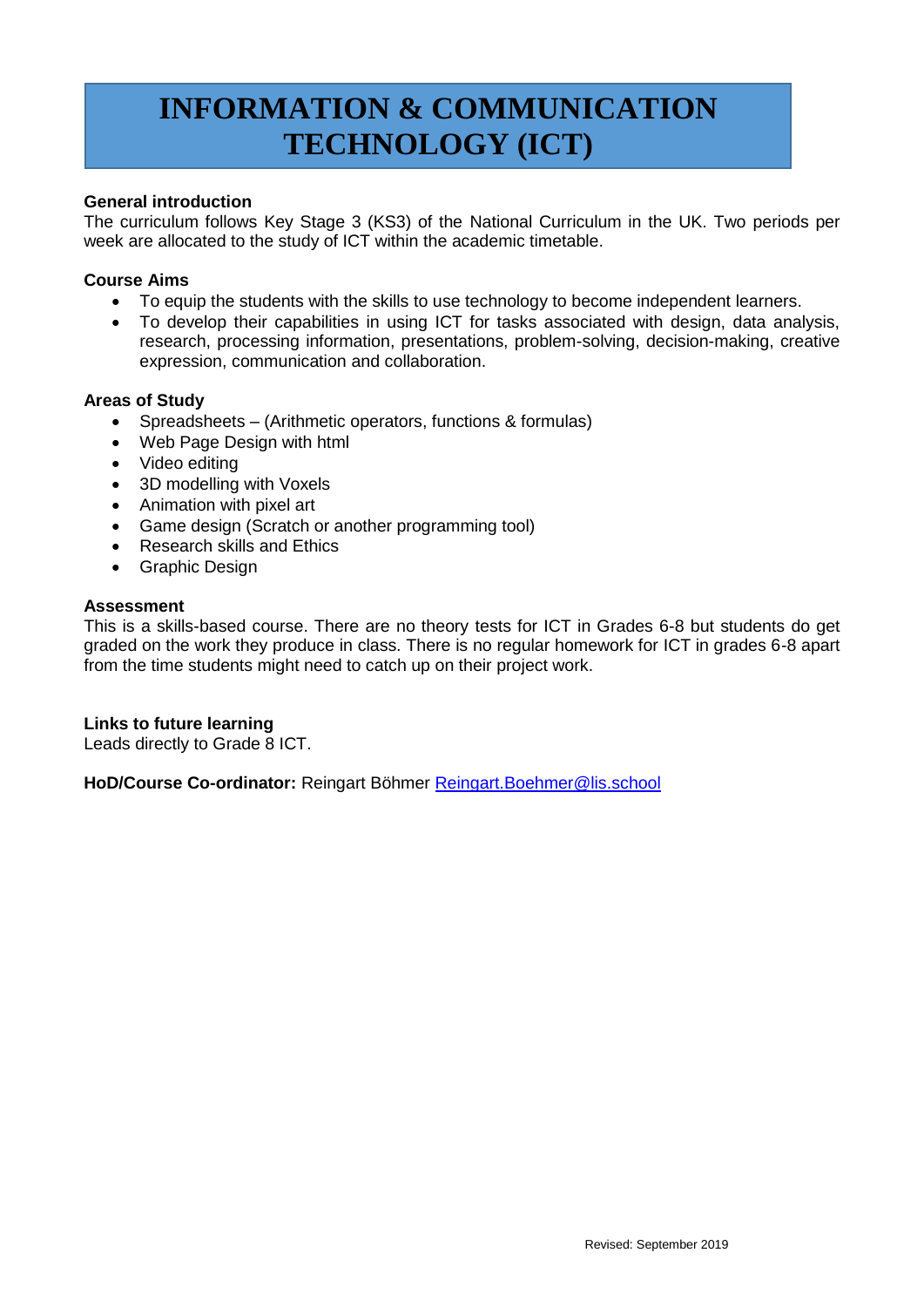# **INFORMATION & COMMUNICATION TECHNOLOGY (ICT)**

#### **General introduction**

The curriculum follows Key Stage 3 (KS3) of the National Curriculum in the UK. Two periods per week are allocated to the study of ICT within the academic timetable.

#### **Course Aims**

- To equip the students with the skills to use technology to become independent learners.
- To develop their capabilities in using ICT for tasks associated with design, data analysis, research, processing information, presentations, problem-solving, decision-making, creative expression, communication and collaboration.

#### **Areas of Study**

- Spreadsheets (Arithmetic operators, functions & formulas)
- Web Page Design with html
- Video editing
- 3D modelling with Voxels
- Animation with pixel art
- Game design (Scratch or another programming tool)
- Research skills and Ethics
- Graphic Design

#### **Assessment**

This is a skills-based course. There are no theory tests for ICT in Grades 6-8 but students do get graded on the work they produce in class. There is no regular homework for ICT in grades 6-8 apart from the time students might need to catch up on their project work.

#### **Links to future learning**

Leads directly to Grade 8 ICT.

HoD/Course Co-ordinator: Reingart Böhmer Reingart. Boehmer@lis.school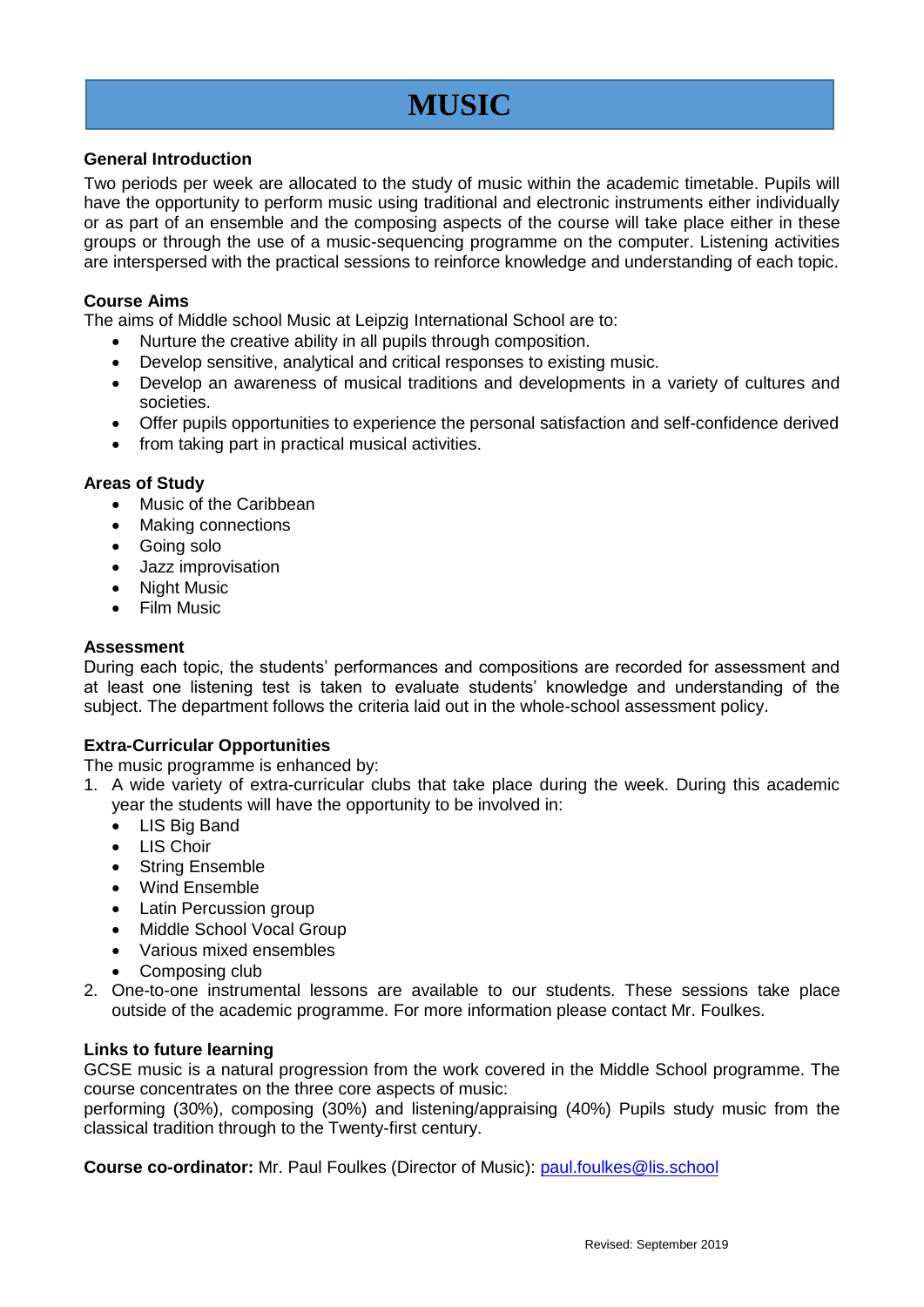## **MUSIC**

#### **General Introduction**

Two periods per week are allocated to the study of music within the academic timetable. Pupils will have the opportunity to perform music using traditional and electronic instruments either individually or as part of an ensemble and the composing aspects of the course will take place either in these groups or through the use of a music-sequencing programme on the computer. Listening activities are interspersed with the practical sessions to reinforce knowledge and understanding of each topic.

#### **Course Aims**

The aims of Middle school Music at Leipzig International School are to:

- Nurture the creative ability in all pupils through composition.
- Develop sensitive, analytical and critical responses to existing music.
- Develop an awareness of musical traditions and developments in a variety of cultures and societies.
- Offer pupils opportunities to experience the personal satisfaction and self-confidence derived
- from taking part in practical musical activities.

#### **Areas of Study**

- Music of the Caribbean
- Making connections
- Going solo
- Jazz improvisation
- Night Music
- Film Music

#### **Assessment**

During each topic, the students' performances and compositions are recorded for assessment and at least one listening test is taken to evaluate students' knowledge and understanding of the subject. The department follows the criteria laid out in the whole-school assessment policy.

#### **Extra-Curricular Opportunities**

The music programme is enhanced by:

- 1. A wide variety of extra-curricular clubs that take place during the week. During this academic year the students will have the opportunity to be involved in:
	- LIS Big Band
	- $\bullet$  LIS Choir
	- String Ensemble
	- Wind Ensemble
	- Latin Percussion group
	- Middle School Vocal Group
	- Various mixed ensembles
	- Composing club
- 2. One-to-one instrumental lessons are available to our students. These sessions take place outside of the academic programme. For more information please contact Mr. Foulkes.

#### **Links to future learning**

GCSE music is a natural progression from the work covered in the Middle School programme. The course concentrates on the three core aspects of music:

performing (30%), composing (30%) and listening/appraising (40%) Pupils study music from the classical tradition through to the Twenty-first century.

**Course co-ordinator:** Mr. Paul Foulkes (Director of Music): [paul.foulkes@lis.school](mailto:paul.foulkes@lis.school)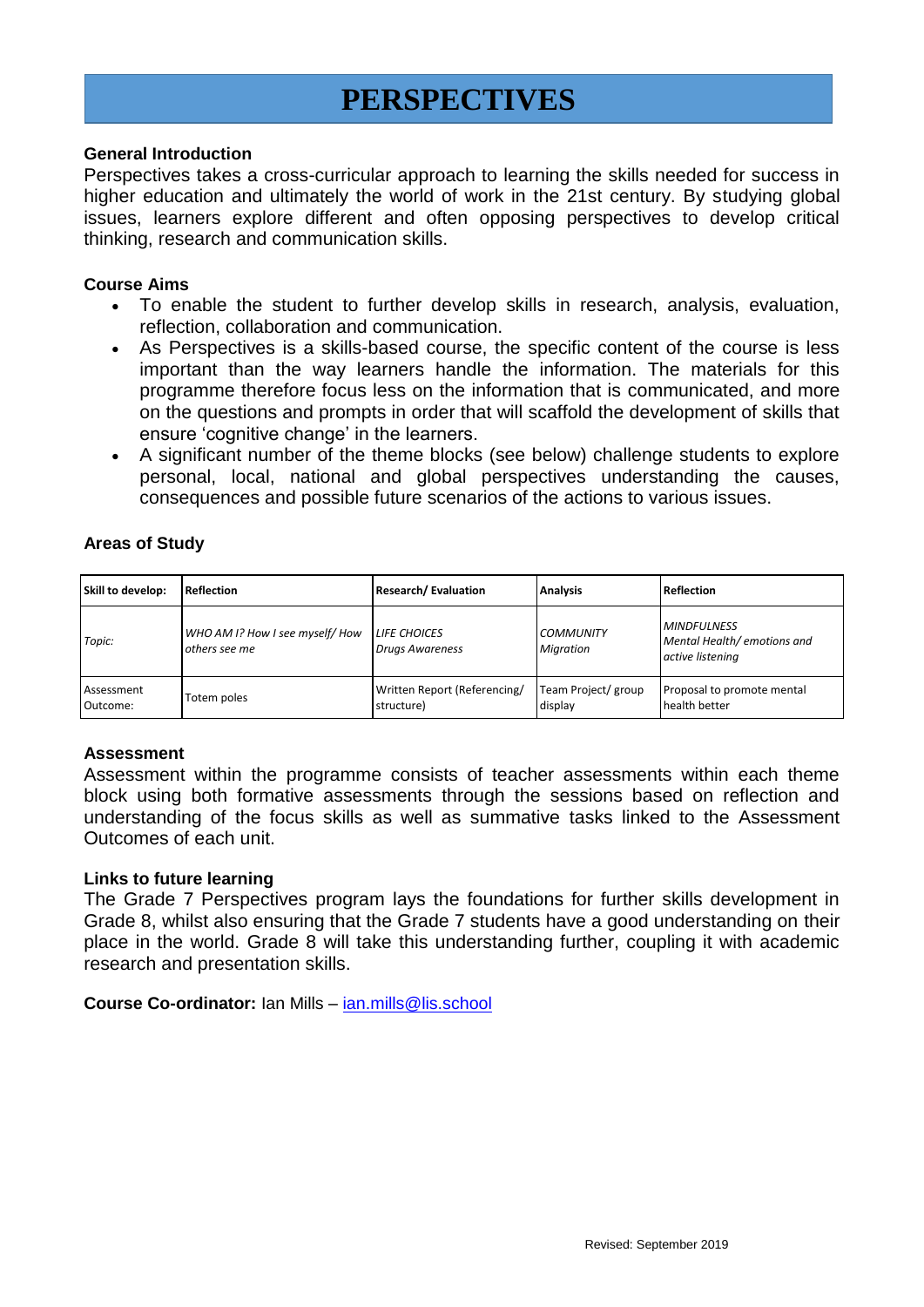### **PERSPECTIVES**

#### **General Introduction**

Perspectives takes a cross-curricular approach to learning the skills needed for success in higher education and ultimately the world of work in the 21st century. By studying global issues, learners explore different and often opposing perspectives to develop critical thinking, research and communication skills.

#### **Course Aims**

- To enable the student to further develop skills in research, analysis, evaluation, reflection, collaboration and communication.
- As Perspectives is a skills-based course, the specific content of the course is less important than the way learners handle the information. The materials for this programme therefore focus less on the information that is communicated, and more on the questions and prompts in order that will scaffold the development of skills that ensure 'cognitive change' in the learners.
- A significant number of the theme blocks (see below) challenge students to explore personal, local, national and global perspectives understanding the causes, consequences and possible future scenarios of the actions to various issues.

#### **Areas of Study**

| Skill to develop:      | <b>Reflection</b>                                | <b>Research/Evaluation</b>                    | <b>Analysis</b>                      | <b>Reflection</b>                                                     |
|------------------------|--------------------------------------------------|-----------------------------------------------|--------------------------------------|-----------------------------------------------------------------------|
| Topic:                 | WHO AM I? How I see myself/ How<br>others see me | <b>LIFE CHOICES</b><br><b>Drugs Awareness</b> | <b>COMMUNITY</b><br><b>Migration</b> | <b>MINDFULNESS</b><br>Mental Health/ emotions and<br>active listening |
| Assessment<br>Outcome: | Totem poles                                      | Written Report (Referencing/<br>structure)    | Team Project/ group<br>display       | Proposal to promote mental<br>health better                           |

#### **Assessment**

Assessment within the programme consists of teacher assessments within each theme block using both formative assessments through the sessions based on reflection and understanding of the focus skills as well as summative tasks linked to the Assessment Outcomes of each unit.

#### **Links to future learning**

The Grade 7 Perspectives program lays the foundations for further skills development in Grade 8, whilst also ensuring that the Grade 7 students have a good understanding on their place in the world. Grade 8 will take this understanding further, coupling it with academic research and presentation skills.

**Course Co-ordinator:** Ian Mills – [ian.mills@lis.school](mailto:ian.mills@lis.school)